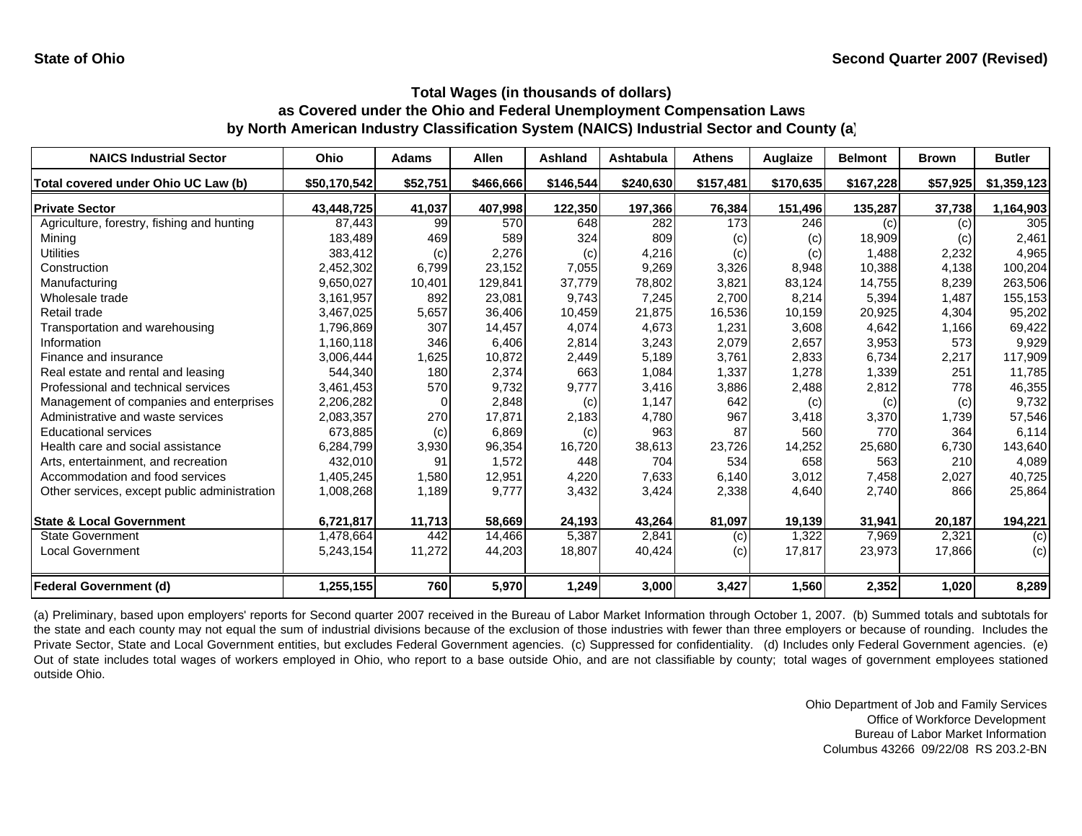| <b>NAICS Industrial Sector</b>               | <b>Ohio</b>  | <b>Adams</b> | <b>Allen</b> | Ashland   | Ashtabula | <b>Athens</b> | Auglaize  | <b>Belmont</b> | <b>Brown</b> | <b>Butler</b> |
|----------------------------------------------|--------------|--------------|--------------|-----------|-----------|---------------|-----------|----------------|--------------|---------------|
| Total covered under Ohio UC Law (b)          | \$50,170,542 | \$52,751     | \$466,666    | \$146,544 | \$240,630 | \$157,481     | \$170,635 | \$167,228      | \$57,925     | \$1,359,123   |
| <b>Private Sector</b>                        | 43,448,725   | 41,037       | 407,998      | 122,350   | 197,366   | 76,384        | 151,496   | 135,287        | 37,738       | 1,164,903     |
| Agriculture, forestry, fishing and hunting   | 87.443       | 99           | 570          | 648       | 282       | 173           | 246       | (c)            | (c)          | 305           |
| Mining                                       | 183,489      | 469          | 589          | 324       | 809       | (c)           | (c)       | 18,909         | (c)          | 2,461         |
| <b>Utilities</b>                             | 383,412      | (c)          | 2,276        | (c)       | 4,216     | (c)           | (c)       | 1,488          | 2,232        | 4,965         |
| Construction                                 | 2,452,302    | 6,799        | 23,152       | 7,055     | 9,269     | 3,326         | 8,948     | 10,388         | 4,138        | 100,204       |
| Manufacturing                                | 9,650,027    | 10,401       | 129,841      | 37,779    | 78,802    | 3,821         | 83,124    | 14,755         | 8,239        | 263,506       |
| Wholesale trade                              | 3,161,957    | 892          | 23,081       | 9,743     | 7,245     | 2,700         | 8,214     | 5,394          | 1,487        | 155,153       |
| Retail trade                                 | 3,467,025    | 5,657        | 36,406       | 10,459    | 21.875    | 16,536        | 10,159    | 20,925         | 4,304        | 95,202        |
| Transportation and warehousing               | 1,796,869    | 307          | 14,457       | 4,074     | 4,673     | 1,231         | 3,608     | 4,642          | 1,166        | 69,422        |
| Information                                  | 1,160,118    | 346          | 6,406        | 2,814     | 3,243     | 2,079         | 2,657     | 3,953          | 573          | 9,929         |
| Finance and insurance                        | 3,006,444    | 1,625        | 10,872       | 2,449     | 5,189     | 3,761         | 2,833     | 6,734          | 2,217        | 117,909       |
| Real estate and rental and leasing           | 544,340      | 180          | 2,374        | 663       | 1,084     | 1,337         | 1,278     | 1,339          | 251          | 11,785        |
| Professional and technical services          | 3,461,453    | 570          | 9,732        | 9,777     | 3,416     | 3,886         | 2,488     | 2,812          | 778          | 46,355        |
| Management of companies and enterprises      | 2,206,282    | $\Omega$     | 2,848        | (c)       | 1,147     | 642           | (c)       | (c)            | (c)          | 9,732         |
| Administrative and waste services            | 2,083,357    | 270          | 17,871       | 2,183     | 4,780     | 967           | 3,418     | 3,370          | 1,739        | 57,546        |
| <b>Educational services</b>                  | 673,885      | (c)          | 6,869        | (c)       | 963       | 87            | 560       | 770            | 364          | 6,114         |
| Health care and social assistance            | 6,284,799    | 3,930        | 96,354       | 16,720    | 38,613    | 23,726        | 14,252    | 25,680         | 6,730        | 143,640       |
| Arts, entertainment, and recreation          | 432,010      | 91           | 1,572        | 448       | 704       | 534           | 658       | 563            | 210          | 4,089         |
| Accommodation and food services              | 1,405,245    | 1,580        | 12,951       | 4,220     | 7,633     | 6,140         | 3,012     | 7,458          | 2,027        | 40,725        |
| Other services, except public administration | 1,008,268    | 1,189        | 9,777        | 3,432     | 3,424     | 2,338         | 4,640     | 2,740          | 866          | 25,864        |
| <b>State &amp; Local Government</b>          | 6,721,817    | 11,713       | 58,669       | 24,193    | 43,264    | 81,097        | 19,139    | 31,941         | 20,187       | 194,221       |
| <b>State Government</b>                      | 1,478,664    | 442          | 14,466       | 5,387     | 2,841     | (c)           | 1,322     | 7,969          | 2,321        | (c)           |
| <b>Local Government</b>                      | 5,243,154    | 11,272       | 44,203       | 18,807    | 40,424    | (c)           | 17,817    | 23,973         | 17,866       | (c)           |
| <b>Federal Government (d)</b>                | 1,255,155    | 760          | 5,970        | 1,249     | 3,000     | 3,427         | 1,560     | 2,352          | 1,020        | 8,289         |

(a) Preliminary, based upon employers' reports for Second quarter 2007 received in the Bureau of Labor Market Information through October 1, 2007. (b) Summed totals and subtotals for the state and each county may not equal the sum of industrial divisions because of the exclusion of those industries with fewer than three employers or because of rounding. Includes the Private Sector, State and Local Government entities, but excludes Federal Government agencies. (c) Suppressed for confidentiality. (d) Includes only Federal Government agencies. (e) Out of state includes total wages of workers employed in Ohio, who report to <sup>a</sup> base outside Ohio, and are not classifiable by county; total wages of government employees stationed outside Ohio.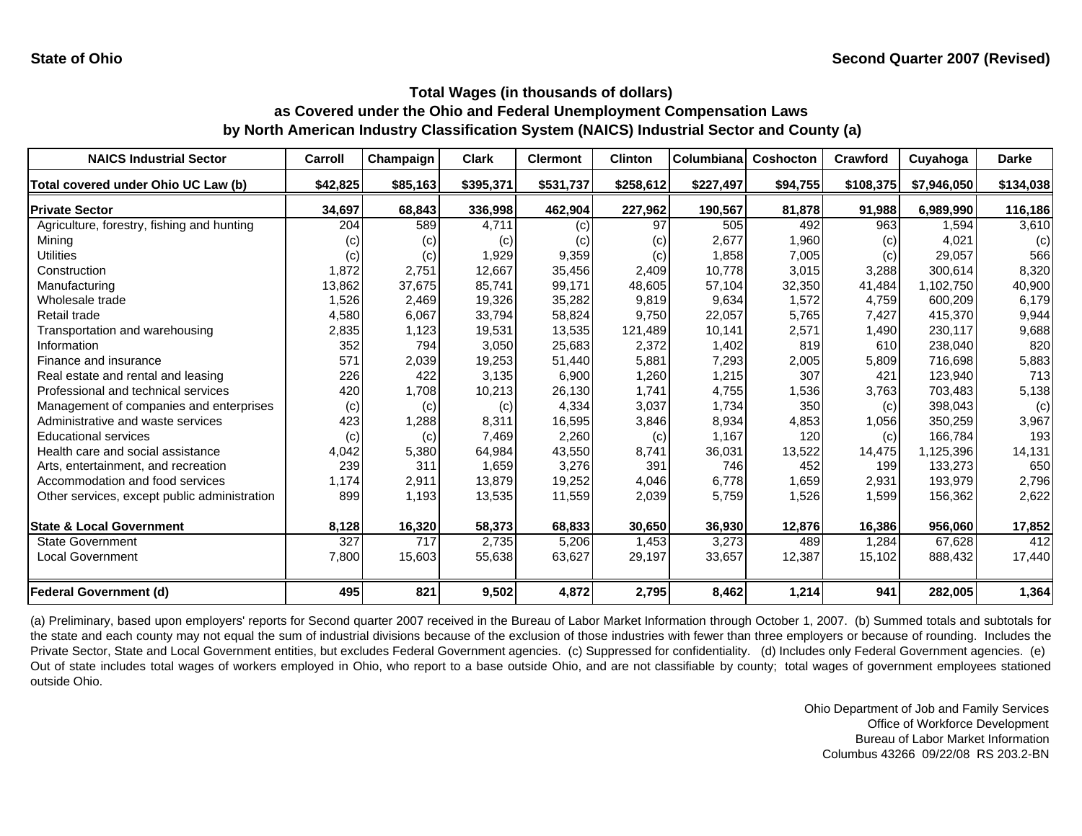| <b>NAICS Industrial Sector</b>               | Carroll  | Champaign | <b>Clark</b> | <b>Clermont</b> | <b>Clinton</b> | Columbiana | <b>Coshocton</b> | Crawford  | Cuyahoga    | <b>Darke</b> |
|----------------------------------------------|----------|-----------|--------------|-----------------|----------------|------------|------------------|-----------|-------------|--------------|
| Total covered under Ohio UC Law (b)          | \$42,825 | \$85,163  | \$395,371    | \$531,737       | \$258,612      | \$227,497  | \$94,755         | \$108,375 | \$7,946,050 | \$134,038    |
| <b>Private Sector</b>                        | 34,697   | 68,843    | 336,998      | 462,904         | 227,962        | 190,567    | 81,878           | 91,988    | 6,989,990   | 116,186      |
| Agriculture, forestry, fishing and hunting   | 204      | 589       | 4,711        | (c)             | 97             | 505        | 492              | 963       | 1,594       | 3,610        |
| Mining                                       | (C)      | (c)       | (c)          | (c)             | (c)            | 2,677      | 1,960            | (c)       | 4,021       | (c)          |
| Utilities                                    | (c)      | (c)       | 1,929        | 9,359           | (c)            | 1,858      | 7,005            | (c)       | 29,057      | 566          |
| Construction                                 | 1,872    | 2,751     | 12,667       | 35,456          | 2,409          | 10,778     | 3,015            | 3,288     | 300.614     | 8,320        |
| Manufacturing                                | 13,862   | 37,675    | 85,741       | 99,171          | 48,605         | 57,104     | 32,350           | 41,484    | 1,102,750   | 40,900       |
| Wholesale trade                              | 1,526    | 2,469     | 19,326       | 35,282          | 9,819          | 9,634      | 1,572            | 4,759     | 600,209     | 6,179        |
| Retail trade                                 | 4,580    | 6,067     | 33,794       | 58,824          | 9,750          | 22,057     | 5,765            | 7,427     | 415,370     | 9,944        |
| Transportation and warehousing               | 2,835    | 1,123     | 19,531       | 13,535          | 121,489        | 10,141     | 2,571            | 1,490     | 230,117     | 9,688        |
| Information                                  | 352      | 794       | 3,050        | 25,683          | 2,372          | 1,402      | 819              | 610       | 238,040     | 820          |
| Finance and insurance                        | 571      | 2,039     | 19,253       | 51,440          | 5,881          | 7,293      | 2,005            | 5,809     | 716,698     | 5,883        |
| Real estate and rental and leasing           | 226      | 422       | 3,135        | 6,900           | 1,260          | 1,215      | 307              | 421       | 123,940     | 713          |
| Professional and technical services          | 420      | 1,708     | 10,213       | 26,130          | 1,741          | 4,755      | 1,536            | 3,763     | 703,483     | 5,138        |
| Management of companies and enterprises      | (c)      | (c)       | (c)          | 4,334           | 3,037          | 1,734      | 350              | (c)       | 398,043     | (c)          |
| Administrative and waste services            | 423      | 1,288     | 8,311        | 16,595          | 3,846          | 8,934      | 4,853            | 1,056     | 350,259     | 3,967        |
| <b>Educational services</b>                  | (c)      | (c)       | 7,469        | 2,260           | (c)            | 1,167      | 120              | (c)       | 166,784     | 193          |
| Health care and social assistance            | 4,042    | 5,380     | 64,984       | 43,550          | 8,741          | 36,031     | 13,522           | 14,475    | 1,125,396   | 14,131       |
| Arts, entertainment, and recreation          | 239      | 311       | 1,659        | 3,276           | 391            | 746        | 452              | 199       | 133,273     | 650          |
| Accommodation and food services              | 1,174    | 2,911     | 13,879       | 19,252          | 4,046          | 6,778      | 1,659            | 2,931     | 193,979     | 2,796        |
| Other services, except public administration | 899      | 1,193     | 13,535       | 11,559          | 2,039          | 5,759      | 1,526            | 1,599     | 156,362     | 2,622        |
| <b>State &amp; Local Government</b>          | 8,128    | 16,320    | 58,373       | 68,833          | 30,650         | 36,930     | 12,876           | 16,386    | 956,060     | 17,852       |
| <b>State Government</b>                      | 327      | 717       | 2,735        | 5,206           | 1,453          | 3,273      | 489              | 1,284     | 67,628      | 412          |
| <b>Local Government</b>                      | 7,800    | 15,603    | 55,638       | 63,627          | 29,197         | 33,657     | 12,387           | 15,102    | 888,432     | 17,440       |
| <b>Federal Government (d)</b>                | 495      | 821       | 9,502        | 4,872           | 2,795          | 8,462      | 1,214            | 941       | 282,005     | 1,364        |

(a) Preliminary, based upon employers' reports for Second quarter 2007 received in the Bureau of Labor Market Information through October 1, 2007. (b) Summed totals and subtotals for the state and each county may not equal the sum of industrial divisions because of the exclusion of those industries with fewer than three employers or because of rounding. Includes the Private Sector, State and Local Government entities, but excludes Federal Government agencies. (c) Suppressed for confidentiality. (d) Includes only Federal Government agencies. (e) Out of state includes total wages of workers employed in Ohio, who report to <sup>a</sup> base outside Ohio, and are not classifiable by county; total wages of government employees stationed outside Ohio.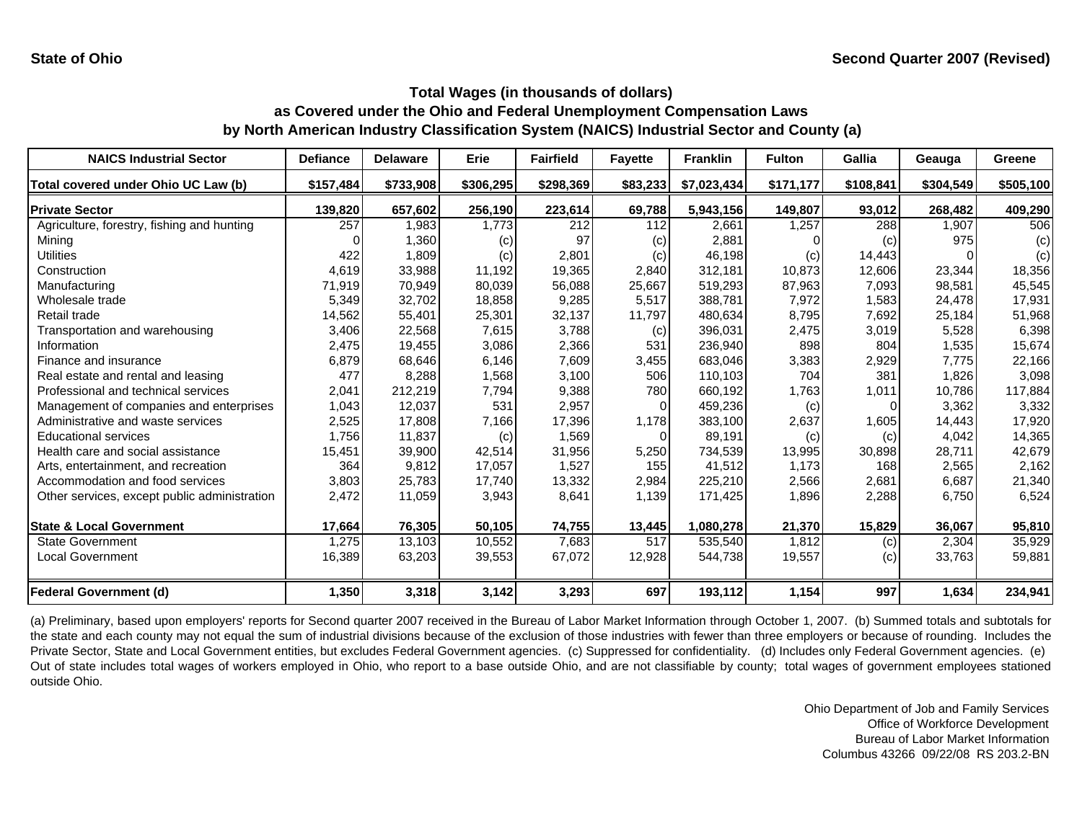| <b>NAICS Industrial Sector</b>               | <b>Defiance</b> | <b>Delaware</b> | <b>Erie</b> | <b>Fairfield</b> | <b>Fayette</b> | <b>Franklin</b> | <b>Fulton</b> | <b>Gallia</b> | Geauga    | Greene    |
|----------------------------------------------|-----------------|-----------------|-------------|------------------|----------------|-----------------|---------------|---------------|-----------|-----------|
| Total covered under Ohio UC Law (b)          | \$157,484       | \$733,908       | \$306,295   | \$298,369        | \$83,233       | \$7,023,434     | \$171,177     | \$108,841     | \$304,549 | \$505,100 |
| <b>Private Sector</b>                        | 139,820         | 657,602         | 256,190     | 223,614          | 69,788         | 5,943,156       | 149,807       | 93,012        | 268,482   | 409,290   |
| Agriculture, forestry, fishing and hunting   | 257             | 1,983           | 1,773       | 212              | 112            | 2,661           | 1,257         | 288           | 1,907     | 506       |
| Mining                                       |                 | 1,360           | (c)         | 97               | (c)            | 2,881           |               | (c)           | 975       | (c)       |
| Utilities                                    | 422             | 1,809           | (c)         | 2,801            | (c)            | 46,198          | (c)           | 14,443        |           | (c)       |
| Construction                                 | 4,619           | 33,988          | 11,192      | 19,365           | 2,840          | 312,181         | 10,873        | 12,606        | 23,344    | 18,356    |
| Manufacturing                                | 71,919          | 70,949          | 80,039      | 56,088           | 25,667         | 519,293         | 87,963        | 7,093         | 98,581    | 45,545    |
| Wholesale trade                              | 5,349           | 32,702          | 18,858      | 9,285            | 5,517          | 388,781         | 7,972         | 1,583         | 24,478    | 17,931    |
| Retail trade                                 | 14,562          | 55,401          | 25,301      | 32,137           | 11,797         | 480,634         | 8,795         | 7,692         | 25,184    | 51,968    |
| Transportation and warehousing               | 3,406           | 22,568          | 7,615       | 3,788            | (c)            | 396,031         | 2,475         | 3,019         | 5,528     | 6,398     |
| Information                                  | 2,475           | 19,455          | 3,086       | 2,366            | 531            | 236,940         | 898           | 804           | 1,535     | 15,674    |
| Finance and insurance                        | 6,879           | 68,646          | 6,146       | 7,609            | 3,455          | 683,046         | 3,383         | 2,929         | 7,775     | 22,166    |
| Real estate and rental and leasing           | 477             | 8,288           | 1,568       | 3,100            | 506            | 110.103         | 704           | 381           | 1,826     | 3,098     |
| Professional and technical services          | 2,041           | 212,219         | 7,794       | 9,388            | 780            | 660,192         | 1,763         | 1,011         | 10,786    | 117,884   |
| Management of companies and enterprises      | 1,043           | 12,037          | 531         | 2,957            | 0              | 459,236         | (c)           | 0             | 3,362     | 3,332     |
| Administrative and waste services            | 2,525           | 17,808          | 7,166       | 17,396           | 1.178          | 383,100         | 2,637         | 1,605         | 14.443    | 17,920    |
| <b>Educational services</b>                  | 1,756           | 11,837          | (c)         | 1,569            | 0              | 89,191          | (c)           | (c)           | 4,042     | 14,365    |
| Health care and social assistance            | 15,451          | 39,900          | 42,514      | 31,956           | 5,250          | 734,539         | 13,995        | 30,898        | 28,711    | 42,679    |
| Arts, entertainment, and recreation          | 364             | 9,812           | 17,057      | 1,527            | 155            | 41,512          | 1.173         | 168           | 2,565     | 2,162     |
| Accommodation and food services              | 3,803           | 25,783          | 17,740      | 13,332           | 2,984          | 225,210         | 2,566         | 2,681         | 6.687     | 21,340    |
| Other services, except public administration | 2,472           | 11,059          | 3,943       | 8,641            | 1,139          | 171,425         | 1,896         | 2,288         | 6,750     | 6,524     |
| <b>State &amp; Local Government</b>          | 17,664          | 76,305          | 50,105      | 74,755           | 13,445         | 1,080,278       | 21,370        | 15,829        | 36,067    | 95,810    |
| <b>State Government</b>                      | 1,275           | 13,103          | 10,552      | 7,683            | 517            | 535,540         | 1,812         | (c)           | 2,304     | 35,929    |
| <b>Local Government</b>                      | 16,389          | 63,203          | 39,553      | 67,072           | 12,928         | 544,738         | 19,557        | (c)           | 33,763    | 59,881    |
| <b>Federal Government (d)</b>                | 1,350           | 3,318           | 3,142       | 3,293            | 697            | 193,112         | 1,154         | 997           | 1,634     | 234,941   |

(a) Preliminary, based upon employers' reports for Second quarter 2007 received in the Bureau of Labor Market Information through October 1, 2007. (b) Summed totals and subtotals for the state and each county may not equal the sum of industrial divisions because of the exclusion of those industries with fewer than three employers or because of rounding. Includes the Private Sector, State and Local Government entities, but excludes Federal Government agencies. (c) Suppressed for confidentiality. (d) Includes only Federal Government agencies. (e) Out of state includes total wages of workers employed in Ohio, who report to <sup>a</sup> base outside Ohio, and are not classifiable by county; total wages of government employees stationed outside Ohio.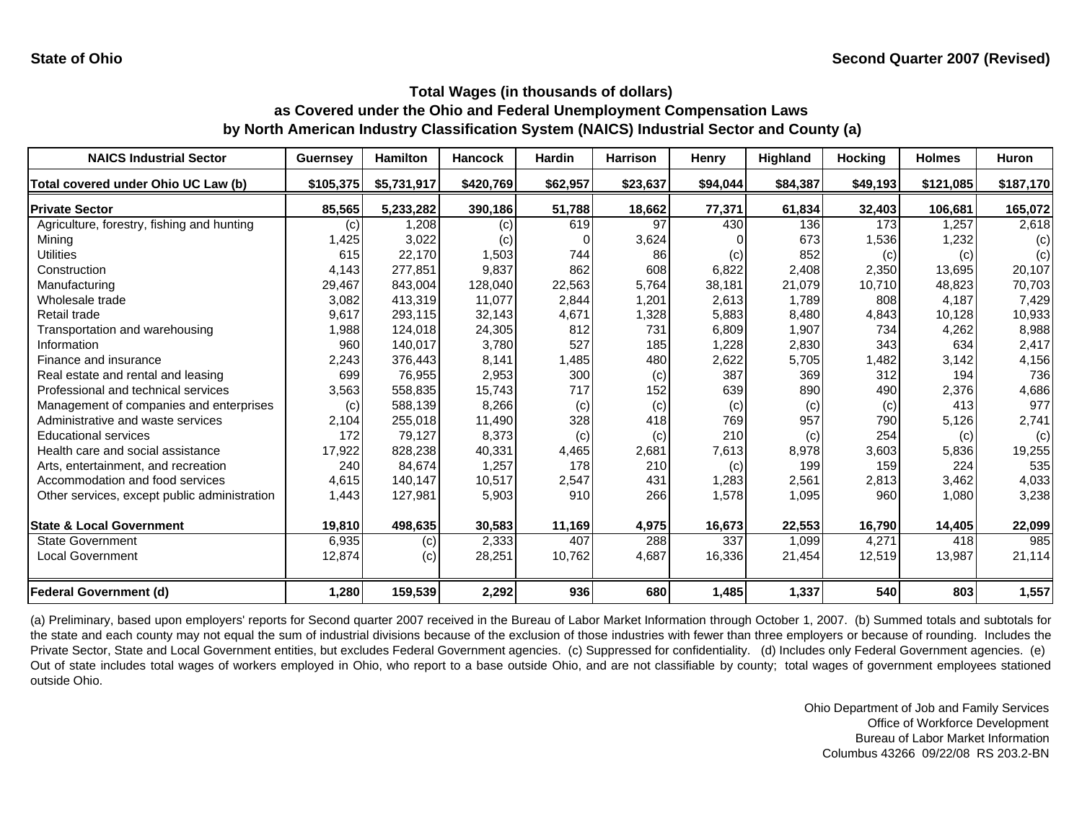| <b>NAICS Industrial Sector</b>               | <b>Guernsey</b> | Hamilton    | <b>Hancock</b> | <b>Hardin</b> | <b>Harrison</b> | Henry    | <b>Highland</b> | <b>Hocking</b> | <b>Holmes</b> | <b>Huron</b> |
|----------------------------------------------|-----------------|-------------|----------------|---------------|-----------------|----------|-----------------|----------------|---------------|--------------|
| Total covered under Ohio UC Law (b)          | \$105,375       | \$5,731,917 | \$420,769      | \$62,957      | \$23,637        | \$94,044 | \$84,387        | \$49,193       | \$121,085     | \$187,170    |
| <b>Private Sector</b>                        | 85,565          | 5,233,282   | 390,186        | 51,788        | 18,662          | 77,371   | 61,834          | 32,403         | 106,681       | 165,072      |
| Agriculture, forestry, fishing and hunting   | (C)             | 1,208       | (c)            | 619           | 97              | 430      | 136             | 173            | 1,257         | 2,618        |
| Mining                                       | 1,425           | 3,022       | (c)            |               | 3,624           |          | 673             | 1,536          | 1,232         | (c)          |
| <b>Utilities</b>                             | 615             | 22,170      | 1,503          | 744           | 86              | (c)      | 852             | (c)            | (c)           | (c)          |
| Construction                                 | 4,143           | 277,851     | 9.837          | 862           | 608             | 6,822    | 2,408           | 2,350          | 13,695        | 20,107       |
| Manufacturing                                | 29,467          | 843,004     | 128.040        | 22,563        | 5,764           | 38,181   | 21,079          | 10.710         | 48.823        | 70,703       |
| Wholesale trade                              | 3,082           | 413,319     | 11,077         | 2,844         | 1,201           | 2,613    | 1,789           | 808            | 4,187         | 7,429        |
| Retail trade                                 | 9,617           | 293,115     | 32,143         | 4,671         | 1,328           | 5,883    | 8,480           | 4,843          | 10,128        | 10,933       |
| Transportation and warehousing               | 1,988           | 124,018     | 24,305         | 812           | 731             | 6,809    | 1,907           | 734            | 4,262         | 8,988        |
| Information                                  | 960             | 140,017     | 3,780          | 527           | 185             | 1,228    | 2,830           | 343            | 634           | 2,417        |
| Finance and insurance                        | 2,243           | 376,443     | 8,141          | 1,485         | 480             | 2,622    | 5,705           | 1,482          | 3,142         | 4,156        |
| Real estate and rental and leasing           | 699             | 76,955      | 2,953          | 300           | (c)             | 387      | 369             | 312            | 194           | 736          |
| Professional and technical services          | 3,563           | 558,835     | 15,743         | 717           | 152             | 639      | 890             | 490            | 2,376         | 4,686        |
| Management of companies and enterprises      | (c)             | 588,139     | 8,266          | (c)           | (c)             | (c)      | (c)             | (c)            | 413           | 977          |
| Administrative and waste services            | 2,104           | 255,018     | 11,490         | 328           | 418             | 769      | 957             | 790            | 5,126         | 2,741        |
| <b>Educational services</b>                  | 172             | 79,127      | 8,373          | (c)           | (c)             | 210      | (c)             | 254            | (c)           | (c)          |
| Health care and social assistance            | 17,922          | 828,238     | 40,331         | 4,465         | 2,681           | 7,613    | 8,978           | 3,603          | 5,836         | 19,255       |
| Arts, entertainment, and recreation          | 240             | 84,674      | 1,257          | 178           | 210             | (c)      | 199             | 159            | 224           | 535          |
| Accommodation and food services              | 4,615           | 140,147     | 10,517         | 2,547         | 431             | 1,283    | 2,561           | 2,813          | 3,462         | 4,033        |
| Other services, except public administration | 1,443           | 127,981     | 5,903          | 910           | 266             | 1,578    | 1,095           | 960            | 1,080         | 3,238        |
| <b>State &amp; Local Government</b>          | 19,810          | 498,635     | 30,583         | 11,169        | 4,975           | 16,673   | 22,553          | 16,790         | 14,405        | 22,099       |
| <b>State Government</b>                      | 6,935           | (c)         | 2,333          | 407           | 288             | 337      | 1,099           | 4,271          | 418           | 985          |
| Local Government                             | 12,874          | (c)         | 28,251         | 10,762        | 4,687           | 16,336   | 21,454          | 12,519         | 13,987        | 21,114       |
| <b>Federal Government (d)</b>                | 1,280           | 159,539     | 2,292          | 936           | 680             | 1,485    | 1,337           | 540            | 803           | 1,557        |

(a) Preliminary, based upon employers' reports for Second quarter 2007 received in the Bureau of Labor Market Information through October 1, 2007. (b) Summed totals and subtotals for the state and each county may not equal the sum of industrial divisions because of the exclusion of those industries with fewer than three employers or because of rounding. Includes the Private Sector, State and Local Government entities, but excludes Federal Government agencies. (c) Suppressed for confidentiality. (d) Includes only Federal Government agencies. (e) Out of state includes total wages of workers employed in Ohio, who report to <sup>a</sup> base outside Ohio, and are not classifiable by county; total wages of government employees stationed outside Ohio.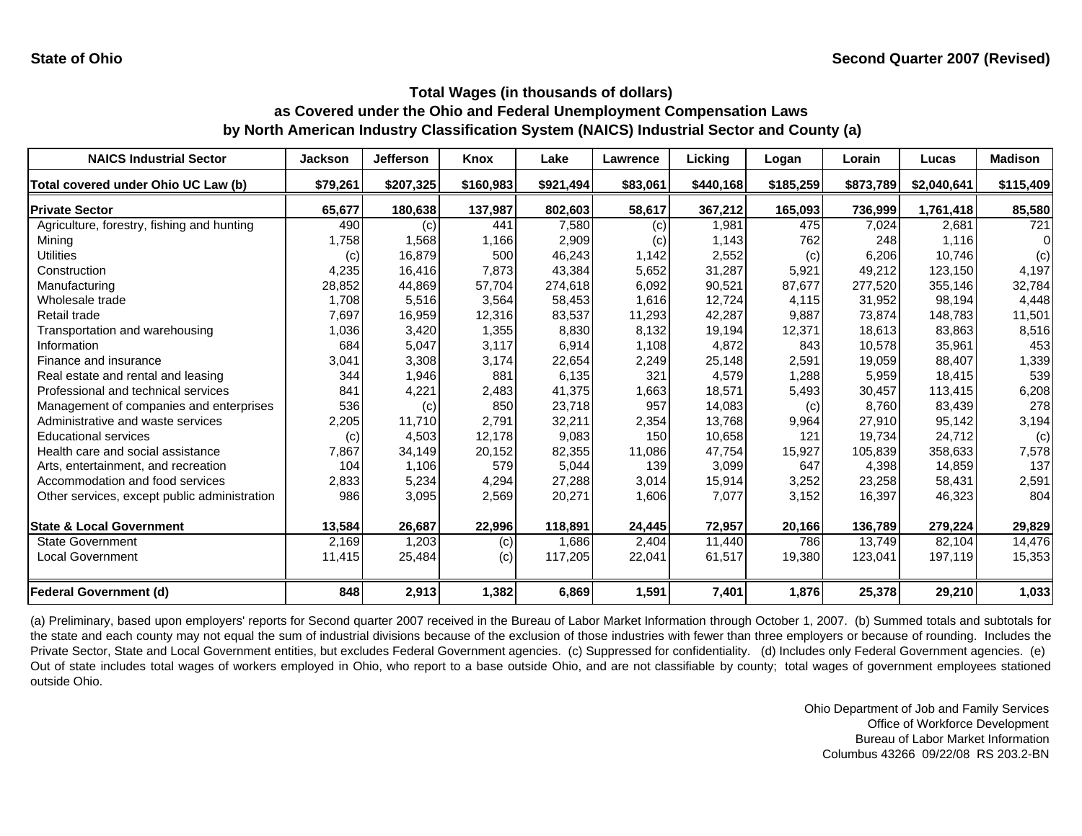| <b>NAICS Industrial Sector</b>               | <b>Jackson</b> | <b>Jefferson</b> | Knox      | Lake      | Lawrence | Licking   | Logan     | Lorain    | Lucas       | <b>Madison</b> |
|----------------------------------------------|----------------|------------------|-----------|-----------|----------|-----------|-----------|-----------|-------------|----------------|
| Total covered under Ohio UC Law (b)          | \$79,261       | \$207,325        | \$160,983 | \$921,494 | \$83,061 | \$440,168 | \$185,259 | \$873,789 | \$2,040,641 | \$115,409      |
| <b>Private Sector</b>                        | 65,677         | 180,638          | 137,987   | 802,603   | 58,617   | 367,212   | 165,093   | 736,999   | 1,761,418   | 85,580         |
| Agriculture, forestry, fishing and hunting   | 490            | (c)              | 441       | 7,580     | (c)      | 1,981     | 475       | 7,024     | 2,681       | 721            |
| Mining                                       | 1,758          | 1,568            | 1,166     | 2,909     | (c)      | 1,143     | 762       | 248       | 1,116       |                |
| Utilities                                    | (c)            | 16,879           | 500       | 46,243    | 1,142    | 2,552     | (c)       | 6,206     | 10,746      | (c)            |
| Construction                                 | 4,235          | 16,416           | 7,873     | 43,384    | 5,652    | 31,287    | 5,921     | 49,212    | 123,150     | 4,197          |
| Manufacturing                                | 28,852         | 44,869           | 57,704    | 274,618   | 6,092    | 90,521    | 87,677    | 277,520   | 355,146     | 32,784         |
| Wholesale trade                              | 1,708          | 5,516            | 3,564     | 58,453    | 1,616    | 12,724    | 4,115     | 31,952    | 98,194      | 4,448          |
| Retail trade                                 | 7,697          | 16,959           | 12,316    | 83,537    | 11,293   | 42,287    | 9,887     | 73,874    | 148,783     | 11,501         |
| Transportation and warehousing               | 1,036          | 3,420            | 1,355     | 8,830     | 8,132    | 19,194    | 12,371    | 18,613    | 83,863      | 8,516          |
| Information                                  | 684            | 5,047            | 3,117     | 6,914     | 1,108    | 4,872     | 843       | 10,578    | 35,961      | 453            |
| Finance and insurance                        | 3,041          | 3,308            | 3,174     | 22,654    | 2,249    | 25,148    | 2,591     | 19,059    | 88,407      | 1,339          |
| Real estate and rental and leasing           | 344            | 1,946            | 881       | 6,135     | 321      | 4.579     | 1,288     | 5.959     | 18.415      | 539            |
| Professional and technical services          | 841            | 4,221            | 2,483     | 41,375    | 1,663    | 18,571    | 5,493     | 30,457    | 113,415     | 6,208          |
| Management of companies and enterprises      | 536            | (c)              | 850       | 23,718    | 957      | 14,083    | (c)       | 8.760     | 83,439      | 278            |
| Administrative and waste services            | 2,205          | 11,710           | 2,791     | 32,211    | 2,354    | 13,768    | 9,964     | 27.910    | 95,142      | 3,194          |
| <b>Educational services</b>                  | (c)            | 4,503            | 12,178    | 9,083     | 150      | 10,658    | 121       | 19,734    | 24,712      | (c)            |
| Health care and social assistance            | 7,867          | 34,149           | 20,152    | 82,355    | 11,086   | 47,754    | 15,927    | 105,839   | 358,633     | 7,578          |
| Arts, entertainment, and recreation          | 104            | 1.106            | 579       | 5,044     | 139      | 3,099     | 647       | 4.398     | 14,859      | 137            |
| Accommodation and food services              | 2,833          | 5,234            | 4,294     | 27,288    | 3,014    | 15,914    | 3,252     | 23,258    | 58,431      | 2,591          |
| Other services, except public administration | 986            | 3,095            | 2,569     | 20,271    | 1,606    | 7,077     | 3,152     | 16,397    | 46,323      | 804            |
| <b>State &amp; Local Government</b>          | 13,584         | 26,687           | 22,996    | 118,891   | 24,445   | 72,957    | 20,166    | 136,789   | 279,224     | 29,829         |
| <b>State Government</b>                      | 2,169          | 1,203            | (c)       | 1,686     | 2,404    | 11,440    | 786       | 13.749    | 82,104      | 14,476         |
| <b>Local Government</b>                      | 11,415         | 25,484           | (c)       | 117,205   | 22,041   | 61,517    | 19,380    | 123,041   | 197,119     | 15,353         |
| <b>Federal Government (d)</b>                | 848            | 2,913            | 1,382     | 6,869     | 1,591    | 7,401     | 1,876     | 25,378    | 29,210      | 1,033          |

(a) Preliminary, based upon employers' reports for Second quarter 2007 received in the Bureau of Labor Market Information through October 1, 2007. (b) Summed totals and subtotals for the state and each county may not equal the sum of industrial divisions because of the exclusion of those industries with fewer than three employers or because of rounding. Includes the Private Sector, State and Local Government entities, but excludes Federal Government agencies. (c) Suppressed for confidentiality. (d) Includes only Federal Government agencies. (e) Out of state includes total wages of workers employed in Ohio, who report to <sup>a</sup> base outside Ohio, and are not classifiable by county; total wages of government employees stationed outside Ohio.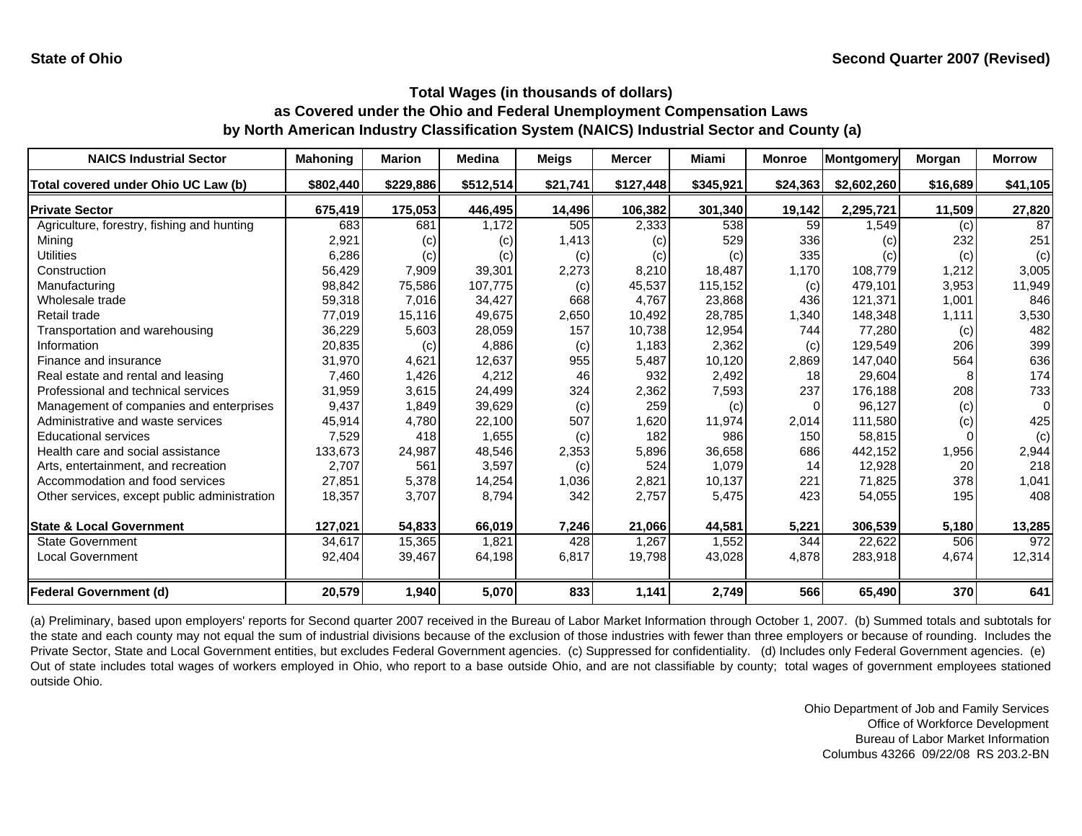| <b>NAICS Industrial Sector</b>               | <b>Mahoning</b> | <b>Marion</b> | <b>Medina</b> | <b>Meigs</b> | <b>Mercer</b> | <b>Miami</b> | <b>Monroe</b> | <b>Montgomery</b> | <b>Morgan</b> | <b>Morrow</b> |
|----------------------------------------------|-----------------|---------------|---------------|--------------|---------------|--------------|---------------|-------------------|---------------|---------------|
| Total covered under Ohio UC Law (b)          | \$802,440       | \$229,886     | \$512,514     | \$21,741     | \$127,448     | \$345,921    | \$24,363      | \$2,602,260       | \$16,689      | \$41,105      |
| <b>Private Sector</b>                        | 675,419         | 175,053       | 446,495       | 14,496       | 106,382       | 301,340      | 19,142        | 2,295,721         | 11,509        | 27,820        |
| Agriculture, forestry, fishing and hunting   | 683             | 681           | 1,172         | 505          | 2,333         | 538          | 59            | 1,549             | (c)           | 87            |
| Mining                                       | 2,921           | (c)           | (c)           | 1,413        | (c)           | 529          | 336           | (c)               | 232           | 251           |
| Utilities                                    | 6,286           | (c)           | (c)           | (c)          | (c)           | (c)          | 335           | (c)               | (c)           | (c)           |
| Construction                                 | 56,429          | 7,909         | 39,301        | 2,273        | 8,210         | 18,487       | 1,170         | 108,779           | 1,212         | 3,005         |
| Manufacturing                                | 98,842          | 75,586        | 107,775       | (c)          | 45,537        | 115,152      | (c)           | 479,101           | 3,953         | 11,949        |
| Wholesale trade                              | 59,318          | 7,016         | 34.427        | 668          | 4.767         | 23,868       | 436           | 121.371           | 1.001         | 846           |
| Retail trade                                 | 77,019          | 15,116        | 49,675        | 2,650        | 10,492        | 28,785       | 1,340         | 148,348           | 1,111         | 3,530         |
| Transportation and warehousing               | 36,229          | 5,603         | 28,059        | 157          | 10,738        | 12,954       | 744           | 77,280            | (c)           | 482           |
| Information                                  | 20,835          | (c)           | 4,886         | (c)          | 1,183         | 2,362        | (c)           | 129,549           | 206           | 399           |
| Finance and insurance                        | 31,970          | 4,621         | 12,637        | 955          | 5,487         | 10,120       | 2,869         | 147,040           | 564           | 636           |
| Real estate and rental and leasing           | 7,460           | 1,426         | 4,212         | 46           | 932           | 2,492        | 18            | 29,604            |               | 174           |
| Professional and technical services          | 31,959          | 3,615         | 24,499        | 324          | 2,362         | 7,593        | 237           | 176,188           | 208           | 733           |
| Management of companies and enterprises      | 9,437           | 1,849         | 39,629        | (c)          | 259           | (c)          | $\Omega$      | 96,127            | (c)           | $\Omega$      |
| Administrative and waste services            | 45,914          | 4,780         | 22,100        | 507          | 1,620         | 11,974       | 2,014         | 111,580           | (c)           | 425           |
| <b>Educational services</b>                  | 7,529           | 418           | 1,655         | (c)          | 182           | 986          | 150           | 58,815            |               | (c)           |
| Health care and social assistance            | 133,673         | 24,987        | 48,546        | 2,353        | 5,896         | 36,658       | 686           | 442,152           | 1,956         | 2,944         |
| Arts, entertainment, and recreation          | 2.707           | 561           | 3,597         | (c)          | 524           | 1,079        | 14            | 12,928            | 20            | 218           |
| Accommodation and food services              | 27,851          | 5,378         | 14,254        | 1,036        | 2,821         | 10,137       | 221           | 71,825            | 378           | 1,041         |
| Other services, except public administration | 18,357          | 3,707         | 8,794         | 342          | 2,757         | 5,475        | 423           | 54,055            | 195           | 408           |
| <b>State &amp; Local Government</b>          | 127,021         | 54,833        | 66,019        | 7,246        | 21,066        | 44,581       | 5,221         | 306,539           | 5,180         | 13,285        |
| <b>State Government</b>                      | 34.617          | 15,365        | 1.821         | 428          | 1,267         | 1,552        | 344           | 22,622            | 506           | 972           |
| <b>Local Government</b>                      | 92,404          | 39,467        | 64,198        | 6,817        | 19,798        | 43,028       | 4,878         | 283,918           | 4,674         | 12,314        |
| <b>Federal Government (d)</b>                | 20,579          | 1,940         | 5,070         | 833          | 1,141         | 2,749        | 566           | 65,490            | 370           | 641           |

(a) Preliminary, based upon employers' reports for Second quarter 2007 received in the Bureau of Labor Market Information through October 1, 2007. (b) Summed totals and subtotals for the state and each county may not equal the sum of industrial divisions because of the exclusion of those industries with fewer than three employers or because of rounding. Includes the Private Sector, State and Local Government entities, but excludes Federal Government agencies. (c) Suppressed for confidentiality. (d) Includes only Federal Government agencies. (e) Out of state includes total wages of workers employed in Ohio, who report to <sup>a</sup> base outside Ohio, and are not classifiable by county; total wages of government employees stationed outside Ohio.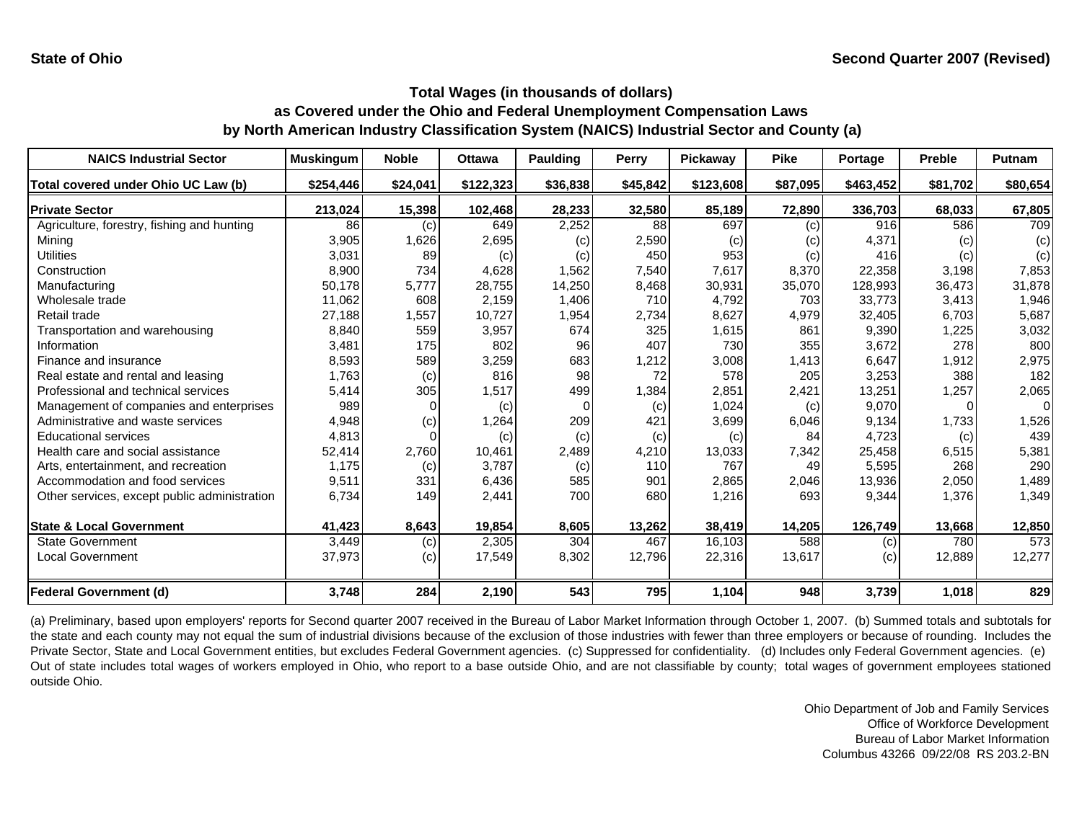| <b>NAICS Industrial Sector</b>               | <b>Muskingum</b> | <b>Noble</b> | <b>Ottawa</b> | <b>Paulding</b> | Perry    | Pickaway  | <b>Pike</b> | Portage   | <b>Preble</b> | Putnam   |
|----------------------------------------------|------------------|--------------|---------------|-----------------|----------|-----------|-------------|-----------|---------------|----------|
| Total covered under Ohio UC Law (b)          | \$254,446        | \$24,041     | \$122,323     | \$36,838        | \$45,842 | \$123,608 | \$87,095    | \$463,452 | \$81,702      | \$80,654 |
| <b>Private Sector</b>                        | 213,024          | 15,398       | 102,468       | 28,233          | 32,580   | 85,189    | 72,890      | 336,703   | 68,033        | 67,805   |
| Agriculture, forestry, fishing and hunting   | 86               | (c)          | 649           | 2,252           | 88       | 697       | (c)         | 916       | 586           | 709      |
| Mining                                       | 3,905            | 1,626        | 2,695         | (c)             | 2,590    | (c)       | (c)         | 4,371     | (c)           | (c)      |
| Utilities                                    | 3,031            | 89           | (c)           | (c)             | 450      | 953       | (c)         | 416       | (c)           | (c)      |
| Construction                                 | 8,900            | 734          | 4,628         | 1,562           | 7,540    | 7,617     | 8,370       | 22,358    | 3,198         | 7,853    |
| Manufacturing                                | 50,178           | 5,777        | 28,755        | 14,250          | 8,468    | 30,931    | 35,070      | 128,993   | 36,473        | 31,878   |
| Wholesale trade                              | 11,062           | 608          | 2,159         | 1,406           | 710      | 4,792     | 703         | 33,773    | 3,413         | 1,946    |
| Retail trade                                 | 27,188           | 1,557        | 10,727        | 1,954           | 2,734    | 8,627     | 4,979       | 32,405    | 6,703         | 5,687    |
| Transportation and warehousing               | 8,840            | 559          | 3,957         | 674             | 325      | 1,615     | 861         | 9,390     | 1,225         | 3,032    |
| Information                                  | 3,481            | 175          | 802           | 96              | 407      | 730       | 355         | 3,672     | 278           | 800      |
| Finance and insurance                        | 8,593            | 589          | 3,259         | 683             | 1,212    | 3,008     | 1,413       | 6,647     | 1,912         | 2,975    |
| Real estate and rental and leasing           | 1,763            | (c)          | 816           | 98              | 72       | 578       | 205         | 3,253     | 388           | 182      |
| Professional and technical services          | 5,414            | 305          | 1,517         | 499             | 1,384    | 2,851     | 2,421       | 13,251    | 1,257         | 2,065    |
| Management of companies and enterprises      | 989              |              | (c)           |                 | (c)      | 1,024     | (c)         | 9,070     |               | 0        |
| Administrative and waste services            | 4,948            | (c)          | 1,264         | 209             | 421      | 3,699     | 6,046       | 9,134     | 1,733         | 1,526    |
| <b>Educational services</b>                  | 4,813            |              | (c)           | (c)             | (c)      | (c)       | 84          | 4,723     | (c)           | 439      |
| Health care and social assistance            | 52,414           | 2,760        | 10,461        | 2,489           | 4,210    | 13,033    | 7,342       | 25,458    | 6,515         | 5,381    |
| Arts, entertainment, and recreation          | 1,175            | (c)          | 3,787         | (c)             | 110      | 767       | 49          | 5,595     | 268           | 290      |
| Accommodation and food services              | 9,511            | 331          | 6,436         | 585             | 901      | 2,865     | 2,046       | 13,936    | 2,050         | 1,489    |
| Other services, except public administration | 6,734            | 149          | 2,441         | 700             | 680      | 1,216     | 693         | 9,344     | 1,376         | 1,349    |
| <b>State &amp; Local Government</b>          | 41,423           | 8,643        | 19,854        | 8,605           | 13,262   | 38,419    | 14,205      | 126,749   | 13,668        | 12,850   |
| <b>State Government</b>                      | 3,449            | (c)          | 2,305         | 304             | 467      | 16,103    | 588         | (c)       | 780           | 573      |
| <b>Local Government</b>                      | 37,973           | (c)          | 17,549        | 8,302           | 12,796   | 22,316    | 13,617      | (c)       | 12,889        | 12,277   |
| <b>Federal Government (d)</b>                | 3,748            | 284          | 2,190         | 543             | 795      | 1,104     | 948         | 3,739     | 1,018         | 829      |

(a) Preliminary, based upon employers' reports for Second quarter 2007 received in the Bureau of Labor Market Information through October 1, 2007. (b) Summed totals and subtotals for the state and each county may not equal the sum of industrial divisions because of the exclusion of those industries with fewer than three employers or because of rounding. Includes the Private Sector, State and Local Government entities, but excludes Federal Government agencies. (c) Suppressed for confidentiality. (d) Includes only Federal Government agencies. (e) Out of state includes total wages of workers employed in Ohio, who report to <sup>a</sup> base outside Ohio, and are not classifiable by county; total wages of government employees stationed outside Ohio.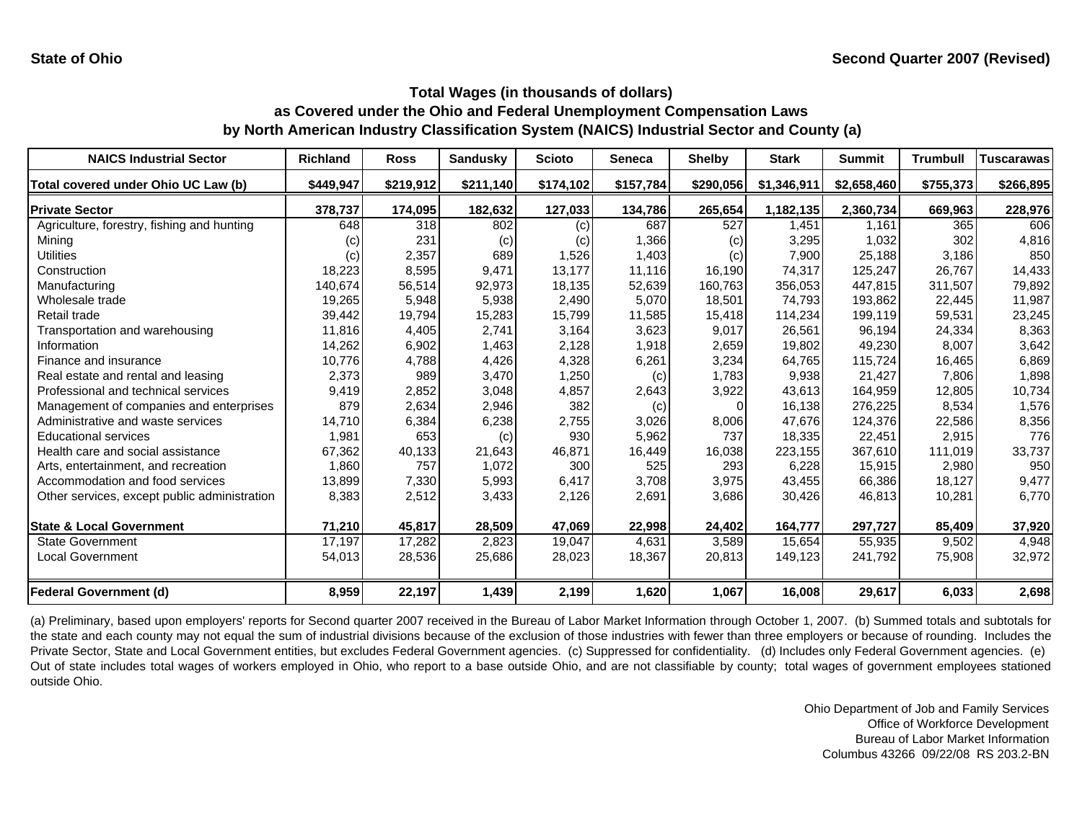| <b>NAICS Industrial Sector</b>               | <b>Richland</b>   | <b>Ross</b> | <b>Sandusky</b> | <b>Scioto</b> | <b>Seneca</b> | <b>Shelby</b> | <b>Stark</b> | <b>Summit</b> | <b>Trumbull</b> | <b>Tuscarawas</b> |
|----------------------------------------------|-------------------|-------------|-----------------|---------------|---------------|---------------|--------------|---------------|-----------------|-------------------|
| Total covered under Ohio UC Law (b)          | \$449,947         | \$219,912   | \$211,140       | \$174,102     | \$157,784     | \$290,056     | \$1,346,911  | \$2,658,460   | \$755,373       | \$266,895         |
| <b>Private Sector</b>                        | 378,737           | 174,095     | 182,632         | 127,033       | 134,786       | 265,654       | 1,182,135    | 2,360,734     | 669,963         | 228,976           |
| Agriculture, forestry, fishing and hunting   | 648               | 318         | 802             | (c)           | 687           | 527           | 1.451        | 1.161         | 365             | 606               |
| Mining                                       | $\left( c\right)$ | 231         | (c)             | (c)           | 1,366         | (c)           | 3,295        | 1,032         | 302             | 4,816             |
| Utilities                                    | (c)               | 2,357       | 689             | 1,526         | 1,403         | (c)           | 7,900        | 25,188        | 3,186           | 850               |
| Construction                                 | 18,223            | 8,595       | 9,471           | 13,177        | 11,116        | 16,190        | 74,317       | 125,247       | 26.767          | 14,433            |
| Manufacturing                                | 140,674           | 56,514      | 92,973          | 18,135        | 52,639        | 160,763       | 356,053      | 447,815       | 311,507         | 79,892            |
| Wholesale trade                              | 19,265            | 5,948       | 5,938           | 2,490         | 5,070         | 18,501        | 74,793       | 193,862       | 22,445          | 11,987            |
| Retail trade                                 | 39,442            | 19,794      | 15,283          | 15,799        | 11,585        | 15,418        | 114,234      | 199,119       | 59,531          | 23,245            |
| Transportation and warehousing               | 11,816            | 4,405       | 2,741           | 3,164         | 3,623         | 9,017         | 26,561       | 96,194        | 24,334          | 8,363             |
| Information                                  | 14,262            | 6,902       | 1,463           | 2,128         | 1,918         | 2,659         | 19,802       | 49,230        | 8,007           | 3,642             |
| Finance and insurance                        | 10,776            | 4,788       | 4,426           | 4,328         | 6,261         | 3,234         | 64,765       | 115,724       | 16,465          | 6,869             |
| Real estate and rental and leasing           | 2,373             | 989         | 3,470           | 1,250         | (c)           | 1,783         | 9,938        | 21,427        | 7,806           | 1,898             |
| Professional and technical services          | 9,419             | 2,852       | 3,048           | 4,857         | 2,643         | 3,922         | 43,613       | 164,959       | 12,805          | 10,734            |
| Management of companies and enterprises      | 879               | 2,634       | 2,946           | 382           | (c)           | $\Omega$      | 16,138       | 276,225       | 8,534           | 1,576             |
| Administrative and waste services            | 14,710            | 6,384       | 6,238           | 2,755         | 3,026         | 8,006         | 47,676       | 124,376       | 22,586          | 8,356             |
| <b>Educational services</b>                  | 1,981             | 653         | (c)             | 930           | 5,962         | 737           | 18,335       | 22,451        | 2,915           | 776               |
| Health care and social assistance            | 67,362            | 40,133      | 21,643          | 46,871        | 16,449        | 16,038        | 223,155      | 367,610       | 111,019         | 33,737            |
| Arts, entertainment, and recreation          | 1,860             | 757         | 1,072           | 300           | 525           | 293           | 6,228        | 15,915        | 2,980           | 950               |
| Accommodation and food services              | 13,899            | 7,330       | 5,993           | 6,417         | 3,708         | 3,975         | 43,455       | 66,386        | 18,127          | 9,477             |
| Other services, except public administration | 8,383             | 2,512       | 3,433           | 2,126         | 2,691         | 3,686         | 30,426       | 46,813        | 10,281          | 6,770             |
| <b>State &amp; Local Government</b>          | 71,210            | 45,817      | 28,509          | 47,069        | 22,998        | 24,402        | 164,777      | 297,727       | 85,409          | 37,920            |
| <b>State Government</b>                      | 17.197            | 17,282      | 2,823           | 19,047        | 4,631         | 3,589         | 15.654       | 55,935        | 9,502           | 4,948             |
| <b>Local Government</b>                      | 54,013            | 28,536      | 25,686          | 28,023        | 18,367        | 20,813        | 149,123      | 241,792       | 75,908          | 32,972            |
| <b>Federal Government (d)</b>                | 8,959             | 22,197      | 1,439           | 2,199         | 1,620         | 1,067         | 16,008       | 29,617        | 6,033           | 2,698             |

(a) Preliminary, based upon employers' reports for Second quarter 2007 received in the Bureau of Labor Market Information through October 1, 2007. (b) Summed totals and subtotals for the state and each county may not equal the sum of industrial divisions because of the exclusion of those industries with fewer than three employers or because of rounding. Includes the Private Sector, State and Local Government entities, but excludes Federal Government agencies. (c) Suppressed for confidentiality. (d) Includes only Federal Government agencies. (e) Out of state includes total wages of workers employed in Ohio, who report to <sup>a</sup> base outside Ohio, and are not classifiable by county; total wages of government employees stationed outside Ohio.